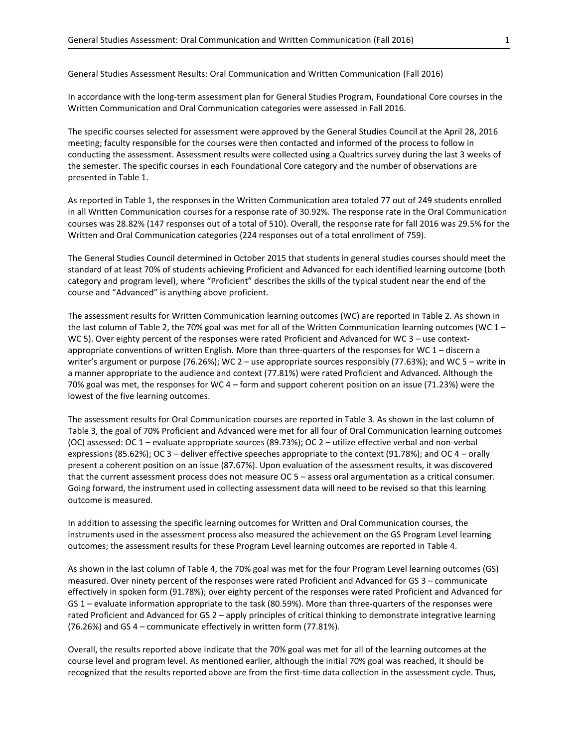General Studies Assessment Results: Oral Communication and Written Communication (Fall 2016)

In accordance with the long-term assessment plan for General Studies Program, Foundational Core courses in the Written Communication and Oral Communication categories were assessed in Fall 2016.

The specific courses selected for assessment were approved by the General Studies Council at the April 28, 2016 meeting; faculty responsible for the courses were then contacted and informed of the process to follow in conducting the assessment. Assessment results were collected using a Qualtrics survey during the last 3 weeks of the semester. The specific courses in each Foundational Core category and the number of observations are presented in Table 1.

As reported in Table 1, the responses in the Written Communication area totaled 77 out of 249 students enrolled in all Written Communication courses for a response rate of 30.92%. The response rate in the Oral Communication courses was 28.82% (147 responses out of a total of 510). Overall, the response rate for fall 2016 was 29.5% for the Written and Oral Communication categories (224 responses out of a total enrollment of 759).

The General Studies Council determined in October 2015 that students in general studies courses should meet the standard of at least 70% of students achieving Proficient and Advanced for each identified learning outcome (both category and program level), where "Proficient" describes the skills of the typical student near the end of the course and "Advanced" is anything above proficient.

The assessment results for Written Communication learning outcomes (WC) are reported in Table 2. As shown in the last column of Table 2, the 70% goal was met for all of the Written Communication learning outcomes (WC 1 – WC 5). Over eighty percent of the responses were rated Proficient and Advanced for WC 3 – use contextappropriate conventions of written English. More than three-quarters of the responses for WC 1 – discern a writer's argument or purpose (76.26%); WC 2 – use appropriate sources responsibly (77.63%); and WC 5 – write in a manner appropriate to the audience and context (77.81%) were rated Proficient and Advanced. Although the 70% goal was met, the responses for WC 4 – form and support coherent position on an issue (71.23%) were the lowest of the five learning outcomes.

The assessment results for Oral Communication courses are reported in Table 3. As shown in the last column of Table 3, the goal of 70% Proficient and Advanced were met for all four of Oral Communication learning outcomes (OC) assessed: OC 1 – evaluate appropriate sources (89.73%); OC 2 – utilize effective verbal and non-verbal expressions (85.62%); OC 3 – deliver effective speeches appropriate to the context (91.78%); and OC 4 – orally present a coherent position on an issue (87.67%). Upon evaluation of the assessment results, it was discovered that the current assessment process does not measure OC 5 – assess oral argumentation as a critical consumer. Going forward, the instrument used in collecting assessment data will need to be revised so that this learning outcome is measured.

In addition to assessing the specific learning outcomes for Written and Oral Communication courses, the instruments used in the assessment process also measured the achievement on the GS Program Level learning outcomes; the assessment results for these Program Level learning outcomes are reported in Table 4.

As shown in the last column of Table 4, the 70% goal was met for the four Program Level learning outcomes (GS) measured. Over ninety percent of the responses were rated Proficient and Advanced for GS 3 – communicate effectively in spoken form (91.78%); over eighty percent of the responses were rated Proficient and Advanced for GS 1 – evaluate information appropriate to the task (80.59%). More than three-quarters of the responses were rated Proficient and Advanced for GS 2 – apply principles of critical thinking to demonstrate integrative learning (76.26%) and GS 4 – communicate effectively in written form (77.81%).

Overall, the results reported above indicate that the 70% goal was met for all of the learning outcomes at the course level and program level. As mentioned earlier, although the initial 70% goal was reached, it should be recognized that the results reported above are from the first-time data collection in the assessment cycle. Thus,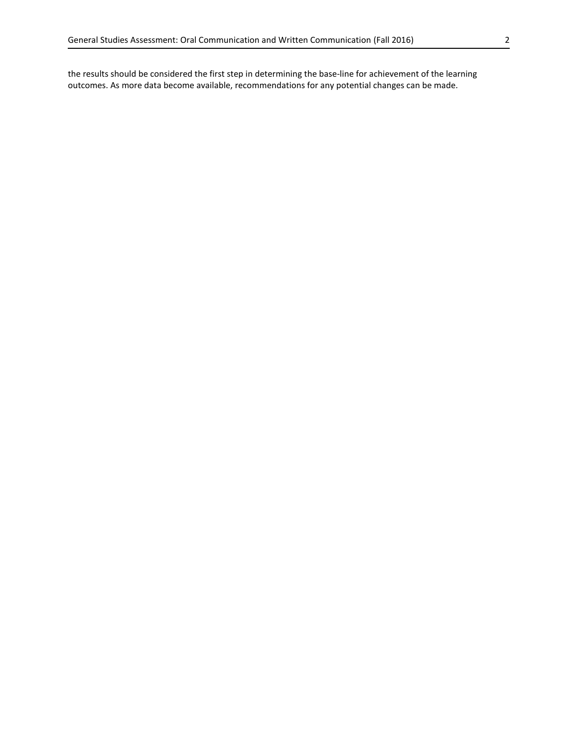the results should be considered the first step in determining the base-line for achievement of the learning outcomes. As more data become available, recommendations for any potential changes can be made.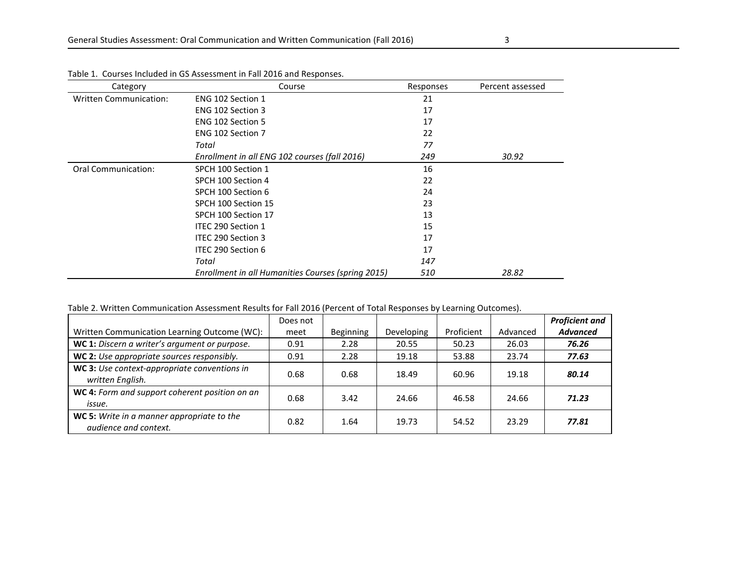| Category                      | Course                                             | Responses | Percent assessed |
|-------------------------------|----------------------------------------------------|-----------|------------------|
| <b>Written Communication:</b> | ENG 102 Section 1                                  | 21        |                  |
|                               | ENG 102 Section 3                                  | 17        |                  |
|                               | ENG 102 Section 5                                  | 17        |                  |
|                               | ENG 102 Section 7                                  | 22        |                  |
|                               | Total                                              | 77        |                  |
|                               | Enrollment in all ENG 102 courses (fall 2016)      | 249       | 30.92            |
| <b>Oral Communication:</b>    | SPCH 100 Section 1                                 | 16        |                  |
|                               | SPCH 100 Section 4                                 | 22        |                  |
|                               | SPCH 100 Section 6                                 | 24        |                  |
|                               | SPCH 100 Section 15                                | 23        |                  |
|                               | SPCH 100 Section 17                                | 13        |                  |
|                               | ITEC 290 Section 1                                 | 15        |                  |
|                               | ITEC 290 Section 3                                 | 17        |                  |
|                               | ITEC 290 Section 6                                 | 17        |                  |
|                               | Total                                              | 147       |                  |
|                               | Enrollment in all Humanities Courses (spring 2015) | 510       | 28.82            |

Table 1. Courses Included in GS Assessment in Fall 2016 and Responses.

Table 2. Written Communication Assessment Results for Fall 2016 (Percent of Total Responses by Learning Outcomes).

|                                                                            | Does not |                  |            |            |          | <b>Proficient and</b> |
|----------------------------------------------------------------------------|----------|------------------|------------|------------|----------|-----------------------|
| Written Communication Learning Outcome (WC):                               | meet     | <b>Beginning</b> | Developing | Proficient | Advanced | <b>Advanced</b>       |
| WC 1: Discern a writer's argument or purpose.                              | 0.91     | 2.28             | 20.55      | 50.23      | 26.03    | 76.26                 |
| WC 2: Use appropriate sources responsibly.                                 | 0.91     | 2.28             | 19.18      | 53.88      | 23.74    | 77.63                 |
| WC 3: Use context-appropriate conventions in<br>written English.           | 0.68     | 0.68             | 18.49      | 60.96      | 19.18    | 80.14                 |
| WC 4: Form and support coherent position on an<br>issue.                   | 0.68     | 3.42             | 24.66      | 46.58      | 24.66    | 71.23                 |
| WC 5: Write in a manner appropriate to the<br><i>audience and context.</i> | 0.82     | 1.64             | 19.73      | 54.52      | 23.29    | 77.81                 |